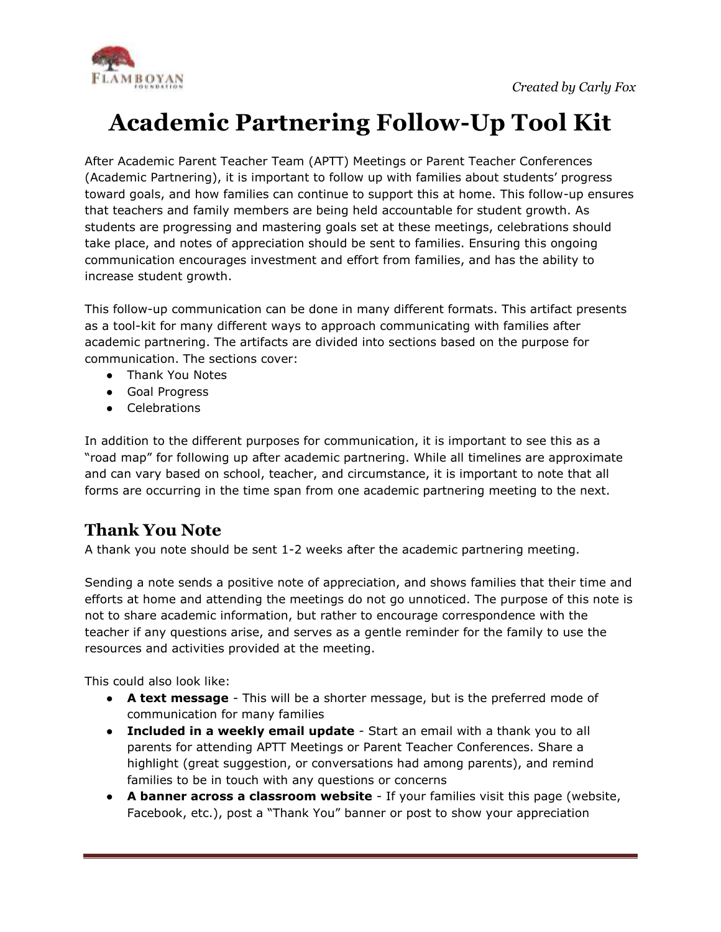

# **Academic Partnering Follow-Up Tool Kit**

After Academic Parent Teacher Team (APTT) Meetings or Parent Teacher Conferences (Academic Partnering), it is important to follow up with families about students' progress toward goals, and how families can continue to support this at home. This follow-up ensures that teachers and family members are being held accountable for student growth. As students are progressing and mastering goals set at these meetings, celebrations should take place, and notes of appreciation should be sent to families. Ensuring this ongoing communication encourages investment and effort from families, and has the ability to increase student growth.

This follow-up communication can be done in many different formats. This artifact presents as a tool-kit for many different ways to approach communicating with families after academic partnering. The artifacts are divided into sections based on the purpose for communication. The sections cover:

- Thank You Notes
- Goal Progress
- Celebrations

In addition to the different purposes for communication, it is important to see this as a "road map" for following up after academic partnering. While all timelines are approximate and can vary based on school, teacher, and circumstance, it is important to note that all forms are occurring in the time span from one academic partnering meeting to the next.

# **Thank You Note**

A thank you note should be sent 1-2 weeks after the academic partnering meeting.

Sending a note sends a positive note of appreciation, and shows families that their time and efforts at home and attending the meetings do not go unnoticed. The purpose of this note is not to share academic information, but rather to encourage correspondence with the teacher if any questions arise, and serves as a gentle reminder for the family to use the resources and activities provided at the meeting.

This could also look like:

- **A text message** This will be a shorter message, but is the preferred mode of communication for many families
- **Included in a weekly email update** Start an email with a thank you to all parents for attending APTT Meetings or Parent Teacher Conferences. Share a highlight (great suggestion, or conversations had among parents), and remind families to be in touch with any questions or concerns
- **A banner across a classroom website** If your families visit this page (website, Facebook, etc.), post a "Thank You" banner or post to show your appreciation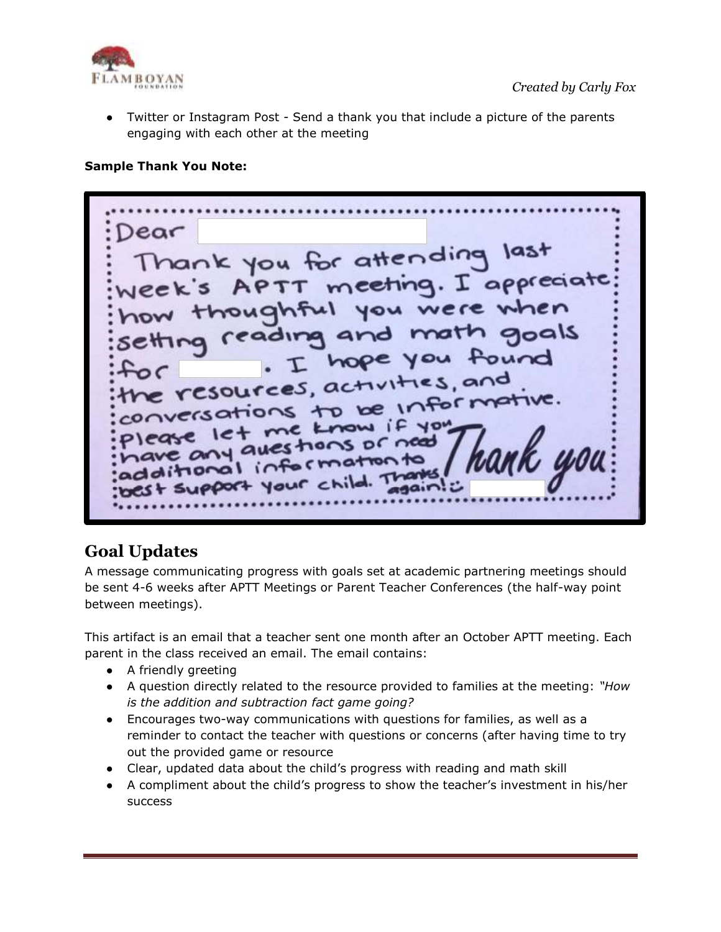

Twitter or Instagram Post - Send a thank you that include a picture of the parents engaging with each other at the meeting

#### **Sample Thank You Note:**

............... Dear Thank you for attending last<br>week's APTT meeting. I appreciate<br>how thoughful you were when how thoughtul you were when<br>setting reading and math goals for resources, activities, and conversations to be informed conversations the Linew IF you please let methods or need<br>additional information to best support your child. The

# **Goal Updates**

A message communicating progress with goals set at academic partnering meetings should be sent 4-6 weeks after APTT Meetings or Parent Teacher Conferences (the half-way point between meetings).

This artifact is an email that a teacher sent one month after an October APTT meeting. Each parent in the class received an email. The email contains:

- A friendly greeting
- A question directly related to the resource provided to families at the meeting: *"How is the addition and subtraction fact game going?*
- Encourages two-way communications with questions for families, as well as a reminder to contact the teacher with questions or concerns (after having time to try out the provided game or resource
- Clear, updated data about the child's progress with reading and math skill
- A compliment about the child's progress to show the teacher's investment in his/her success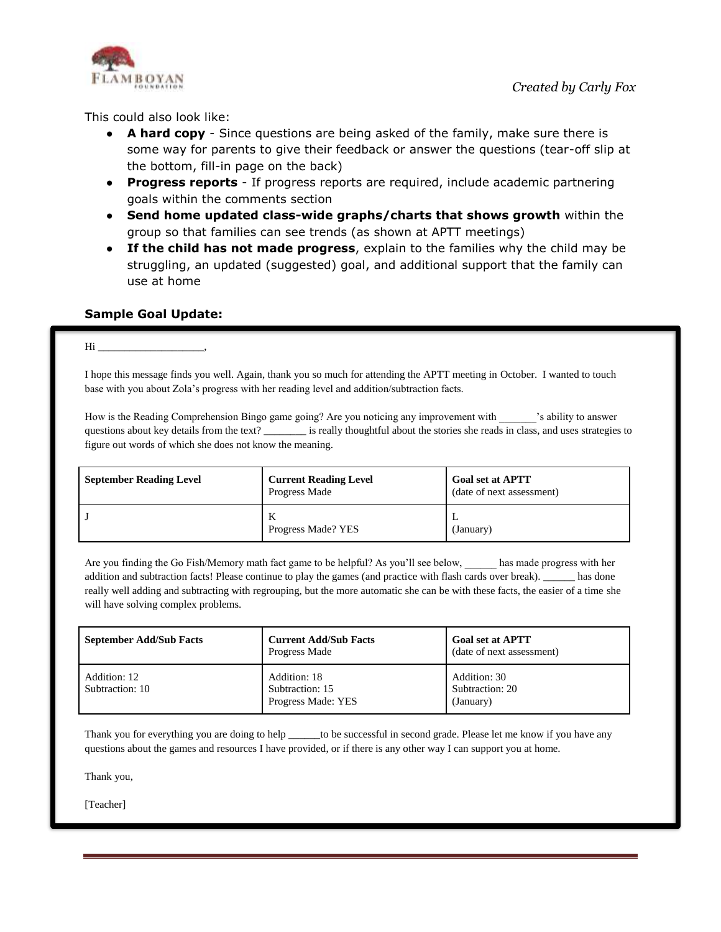

This could also look like:

- **A hard copy** Since questions are being asked of the family, make sure there is some way for parents to give their feedback or answer the questions (tear-off slip at the bottom, fill-in page on the back)
- **Progress reports** If progress reports are required, include academic partnering goals within the comments section
- **Send home updated class-wide graphs/charts that shows growth** within the group so that families can see trends (as shown at APTT meetings)
- **If the child has not made progress**, explain to the families why the child may be struggling, an updated (suggested) goal, and additional support that the family can use at home

#### **Sample Goal Update:**

 $Hi_$ 

I hope this message finds you well. Again, thank you so much for attending the APTT meeting in October. I wanted to touch base with you about Zola's progress with her reading level and addition/subtraction facts.

How is the Reading Comprehension Bingo game going? Are you noticing any improvement with  $\cdot$ 's ability to answer questions about key details from the text? \_\_\_\_\_\_\_\_ is really thoughtful about the stories she reads in class, and uses strategies to figure out words of which she does not know the meaning.

| <b>September Reading Level</b> | <b>Current Reading Level</b><br>Progress Made | <b>Goal set at APTT</b><br>(date of next assessment) |
|--------------------------------|-----------------------------------------------|------------------------------------------------------|
|                                | $\mathbf{V}$<br>Progress Made? YES            | (January)                                            |

Are you finding the Go Fish/Memory math fact game to be helpful? As you'll see below, has made progress with her addition and subtraction facts! Please continue to play the games (and practice with flash cards over break). \_\_\_\_\_\_ has done really well adding and subtracting with regrouping, but the more automatic she can be with these facts, the easier of a time she will have solving complex problems.

| <b>September Add/Sub Facts</b>  | <b>Current Add/Sub Facts</b><br>Progress Made         | <b>Goal set at APTT</b><br>(date of next assessment) |
|---------------------------------|-------------------------------------------------------|------------------------------------------------------|
| Addition: 12<br>Subtraction: 10 | Addition: 18<br>Subtraction: 15<br>Progress Made: YES | Addition: 30<br>Subtraction: 20<br>(January)         |

Thank you for everything you are doing to help \_\_\_\_\_\_to be successful in second grade. Please let me know if you have any questions about the games and resources I have provided, or if there is any other way I can support you at home.

Thank you,

[Teacher]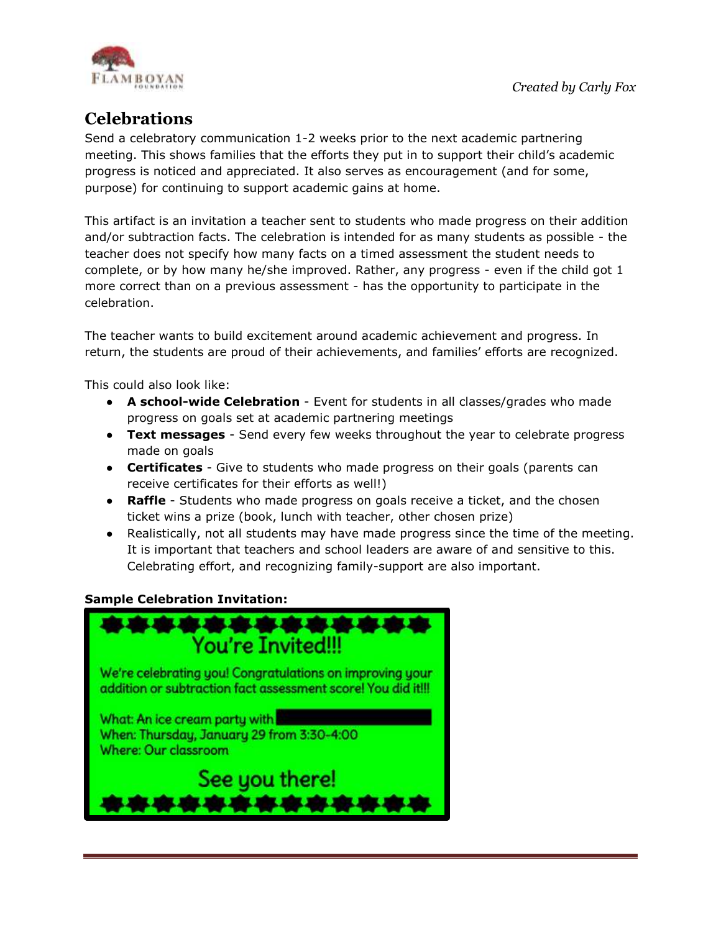

## **Celebrations**

Send a celebratory communication 1-2 weeks prior to the next academic partnering meeting. This shows families that the efforts they put in to support their child's academic progress is noticed and appreciated. It also serves as encouragement (and for some, purpose) for continuing to support academic gains at home.

This artifact is an invitation a teacher sent to students who made progress on their addition and/or subtraction facts. The celebration is intended for as many students as possible - the teacher does not specify how many facts on a timed assessment the student needs to complete, or by how many he/she improved. Rather, any progress - even if the child got 1 more correct than on a previous assessment - has the opportunity to participate in the celebration.

The teacher wants to build excitement around academic achievement and progress. In return, the students are proud of their achievements, and families' efforts are recognized.

This could also look like:

- **A school-wide Celebration** Event for students in all classes/grades who made progress on goals set at academic partnering meetings
- **Text messages** Send every few weeks throughout the year to celebrate progress made on goals
- **Certificates** Give to students who made progress on their goals (parents can receive certificates for their efforts as well!)
- **Raffle**  Students who made progress on goals receive a ticket, and the chosen ticket wins a prize (book, lunch with teacher, other chosen prize)
- Realistically, not all students may have made progress since the time of the meeting. It is important that teachers and school leaders are aware of and sensitive to this. Celebrating effort, and recognizing family-support are also important.

#### **Sample Celebration Invitation:**